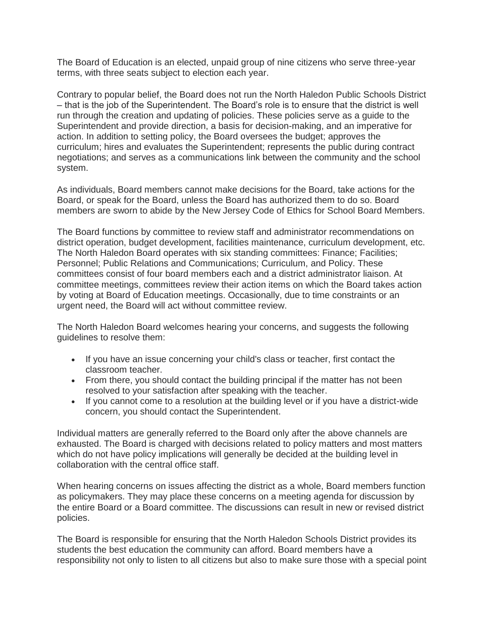The Board of Education is an elected, unpaid group of nine citizens who serve three-year terms, with three seats subject to election each year.

Contrary to popular belief, the Board does not run the North Haledon Public Schools District – that is the job of the Superintendent. The Board's role is to ensure that the district is well run through the creation and updating of policies. These policies serve as a guide to the Superintendent and provide direction, a basis for decision-making, and an imperative for action. In addition to setting policy, the Board oversees the budget; approves the curriculum; hires and evaluates the Superintendent; represents the public during contract negotiations; and serves as a communications link between the community and the school system.

As individuals, Board members cannot make decisions for the Board, take actions for the Board, or speak for the Board, unless the Board has authorized them to do so. Board members are sworn to abide by the New Jersey Code of Ethics for School Board Members.

The Board functions by committee to review staff and administrator recommendations on district operation, budget development, facilities maintenance, curriculum development, etc. The North Haledon Board operates with six standing committees: Finance; Facilities; Personnel; Public Relations and Communications; Curriculum, and Policy. These committees consist of four board members each and a district administrator liaison. At committee meetings, committees review their action items on which the Board takes action by voting at Board of Education meetings. Occasionally, due to time constraints or an urgent need, the Board will act without committee review.

The North Haledon Board welcomes hearing your concerns, and suggests the following guidelines to resolve them:

- If you have an issue concerning your child's class or teacher, first contact the classroom teacher.
- From there, you should contact the building principal if the matter has not been resolved to your satisfaction after speaking with the teacher.
- If you cannot come to a resolution at the building level or if you have a district-wide concern, you should contact the Superintendent.

Individual matters are generally referred to the Board only after the above channels are exhausted. The Board is charged with decisions related to policy matters and most matters which do not have policy implications will generally be decided at the building level in collaboration with the central office staff.

When hearing concerns on issues affecting the district as a whole, Board members function as policymakers. They may place these concerns on a meeting agenda for discussion by the entire Board or a Board committee. The discussions can result in new or revised district policies.

The Board is responsible for ensuring that the North Haledon Schools District provides its students the best education the community can afford. Board members have a responsibility not only to listen to all citizens but also to make sure those with a special point